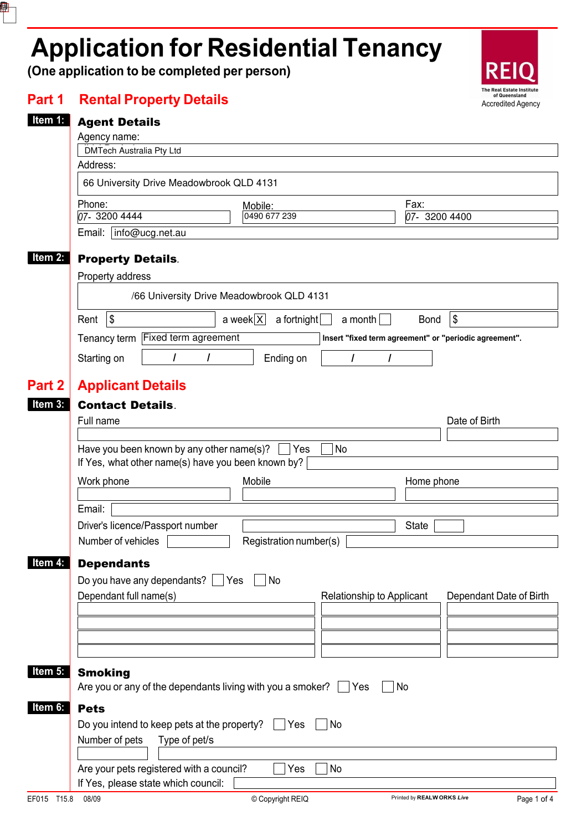# **Application for Residential Tenancy**

**(One application to be completed per person)** 

₽



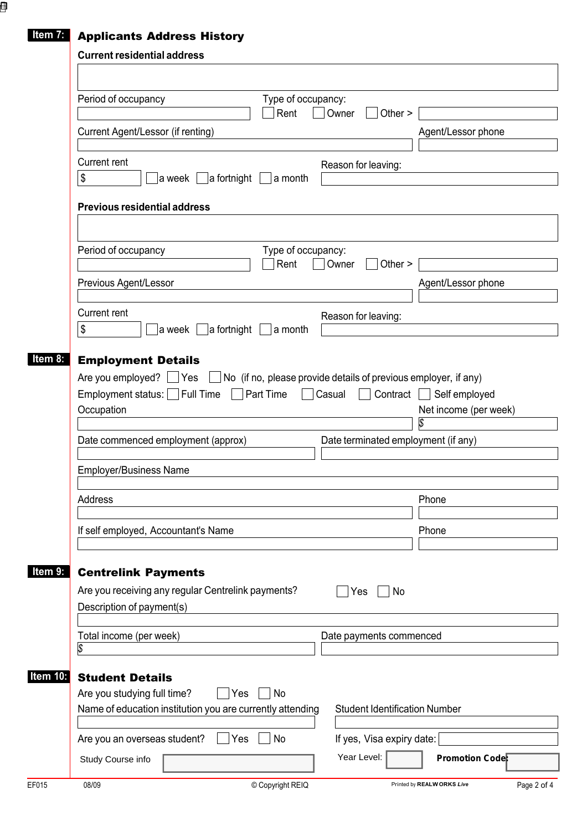### **Item 7:** Applicants Address History

|                                       | Period of occupancy                                                                          |                     | Type of occupancy:         |        |                                      |                                                                                                           |  |
|---------------------------------------|----------------------------------------------------------------------------------------------|---------------------|----------------------------|--------|--------------------------------------|-----------------------------------------------------------------------------------------------------------|--|
|                                       |                                                                                              |                     | Rent                       | Owner  | Other $>$                            |                                                                                                           |  |
|                                       | Current Agent/Lessor (if renting)                                                            |                     |                            |        |                                      | Agent/Lessor phone                                                                                        |  |
|                                       | <b>Current rent</b>                                                                          |                     |                            |        | Reason for leaving:                  |                                                                                                           |  |
|                                       | \$<br>a week                                                                                 | $ $ a fortnight $ $ | ∣a month                   |        |                                      |                                                                                                           |  |
|                                       | <b>Previous residential address</b>                                                          |                     |                            |        |                                      |                                                                                                           |  |
|                                       |                                                                                              |                     |                            |        |                                      |                                                                                                           |  |
|                                       | Period of occupancy                                                                          |                     | Type of occupancy:<br>Rent | Owner  | Other $>$                            |                                                                                                           |  |
|                                       | Previous Agent/Lessor                                                                        |                     |                            |        |                                      | Agent/Lessor phone                                                                                        |  |
|                                       |                                                                                              |                     |                            |        |                                      |                                                                                                           |  |
|                                       | <b>Current rent</b>                                                                          |                     |                            |        | Reason for leaving:                  |                                                                                                           |  |
|                                       | \$<br>a week                                                                                 | $ $ a fortnight $ $ | a month                    |        |                                      |                                                                                                           |  |
|                                       | <b>Employment Details</b><br>Are you employed?<br>Employment status: Full Time<br>Occupation | Yes                 | Part Time                  | Casual | Contract                             | No (if no, please provide details of previous employer, if any)<br>Self employed<br>Net income (per week) |  |
|                                       | Date commenced employment (approx)                                                           |                     |                            |        |                                      | Date terminated employment (if any)                                                                       |  |
|                                       | <b>Employer/Business Name</b>                                                                |                     |                            |        |                                      |                                                                                                           |  |
|                                       | Address                                                                                      |                     |                            |        |                                      | Phone                                                                                                     |  |
|                                       |                                                                                              |                     |                            |        |                                      |                                                                                                           |  |
|                                       | If self employed, Accountant's Name                                                          |                     |                            |        |                                      | Phone                                                                                                     |  |
|                                       | <b>Centrelink Payments</b>                                                                   |                     |                            |        |                                      |                                                                                                           |  |
|                                       | Are you receiving any regular Centrelink payments?                                           |                     |                            | Yes    | No                                   |                                                                                                           |  |
|                                       | Description of payment(s)                                                                    |                     |                            |        |                                      |                                                                                                           |  |
|                                       | Total income (per week)                                                                      |                     |                            |        | Date payments commenced              |                                                                                                           |  |
|                                       | S                                                                                            |                     |                            |        |                                      |                                                                                                           |  |
|                                       | <b>Student Details</b>                                                                       |                     |                            |        |                                      |                                                                                                           |  |
|                                       | Are you studying full time?<br>Name of education institution you are currently attending     | Yes                 | No                         |        | <b>Student Identification Number</b> |                                                                                                           |  |
| Item 8:<br>Item 9:<br><b>Item 10:</b> | Are you an overseas student?                                                                 | Yes                 | No                         |        | If yes, Visa expiry date:            |                                                                                                           |  |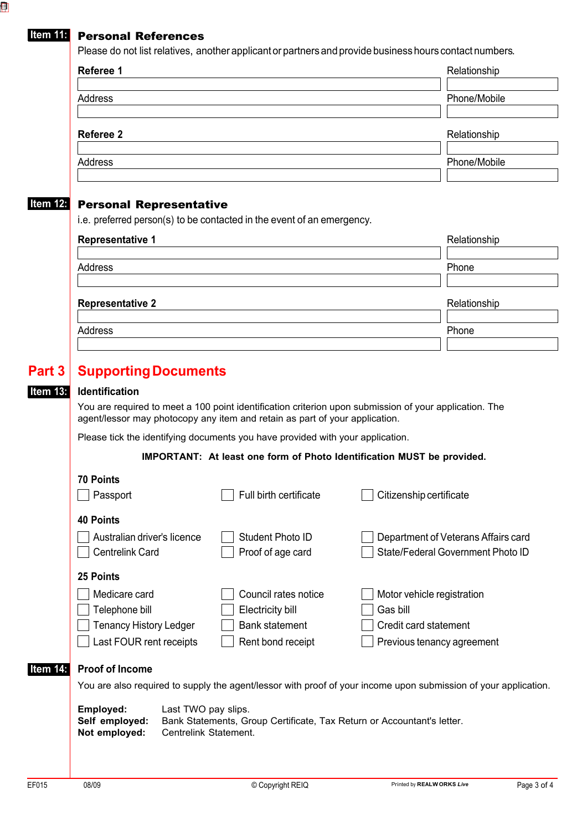#### **Item 11:** Personal References

| Referee 1      | Relationship |
|----------------|--------------|
| Address        | Phone/Mobile |
| Referee 2      | Relationship |
| <b>Address</b> | Phone/Mobile |

| Address                 | Phone        |
|-------------------------|--------------|
|                         |              |
| <b>Representative 2</b> | Relationship |
| Address                 | Phone        |
|                         |              |

# **Part 3** Supporting Documents

**Item 13:** 

You are required to meet a 100 point identification criterion upon submission of your application. The agent/lessor may photocopy any item and retain as part of your application.

Please tick the identifying documents you have provided with your application.

**IMPORTANT: At least one form of Photo Identification MUST be provided.**

|          | <b>70 Points</b>                                                                                                             |  |                        |                                     |  |  |  |  |
|----------|------------------------------------------------------------------------------------------------------------------------------|--|------------------------|-------------------------------------|--|--|--|--|
|          | Passport                                                                                                                     |  | Full birth certificate | Citizenship certificate             |  |  |  |  |
|          | <b>40 Points</b>                                                                                                             |  |                        |                                     |  |  |  |  |
|          | Australian driver's licence                                                                                                  |  | Student Photo ID       | Department of Veterans Affairs card |  |  |  |  |
|          | <b>Centrelink Card</b>                                                                                                       |  | Proof of age card      | State/Federal Government Photo ID   |  |  |  |  |
|          | 25 Points                                                                                                                    |  |                        |                                     |  |  |  |  |
|          | Medicare card                                                                                                                |  | Council rates notice   | Motor vehicle registration          |  |  |  |  |
|          | Telephone bill                                                                                                               |  | Electricity bill       | Gas bill                            |  |  |  |  |
|          | <b>Tenancy History Ledger</b>                                                                                                |  | <b>Bank statement</b>  | Credit card statement               |  |  |  |  |
|          | Last FOUR rent receipts                                                                                                      |  | Rent bond receipt      | Previous tenancy agreement          |  |  |  |  |
| Item 14: | <b>Proof of Income</b>                                                                                                       |  |                        |                                     |  |  |  |  |
|          | You are also required to supply the agent/lessor with proof of your income upon submission of your application.              |  |                        |                                     |  |  |  |  |
|          | Employed:<br>Last TWO pay slips.<br>Self employed:<br>Bank Statements, Group Certificate, Tax Return or Accountant's letter. |  |                        |                                     |  |  |  |  |
|          | Not employed:<br>Centrelink Statement.                                                                                       |  |                        |                                     |  |  |  |  |
|          |                                                                                                                              |  |                        |                                     |  |  |  |  |
|          |                                                                                                                              |  |                        |                                     |  |  |  |  |